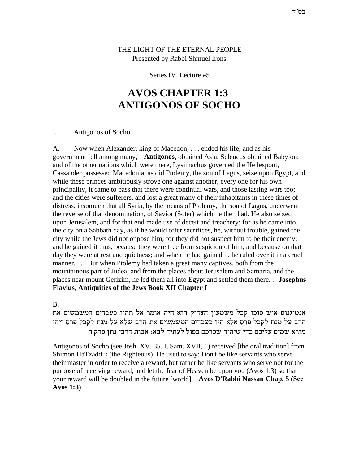THE LIGHT OF THE ETERNAL PEOPLE Presented by Rabbi Shmuel Irons

#### Series IV Lecture #5

# **AVOS CHAPTER 1:3 ANTIGONOS OF SOCHO**

#### $\mathbf{I}$ . Antigonos of Socho

 $A<sub>1</sub>$ Now when Alexander, king of Macedon, ... ended his life; and as his government fell among many, Antigonos, obtained Asia, Seleucus obtained Babylon; and of the other nations which were there, Lysimachus governed the Hellespont, Cassander possessed Macedonia, as did Ptolemy, the son of Lagus, seize upon Egypt, and while these princes ambitiously strove one against another, every one for his own principality, it came to pass that there were continual wars, and those lasting wars too; and the cities were sufferers, and lost a great many of their inhabitants in these times of distress, insomuch that all Syria, by the means of Ptolemy, the son of Lagus, underwent the reverse of that denomination, of Savior (Soter) which he then had. He also seized upon Jerusalem, and for that end made use of deceit and treachery; for as he came into the city on a Sabbath day, as if he would offer sacrifices, he, without trouble, gained the city while the Jews did not oppose him, for they did not suspect him to be their enemy; and he gained it thus, because they were free from suspicion of him, and because on that day they were at rest and quietness; and when he had gained it, he ruled over it in a cruel manner....But when Ptolemy had taken a great many captives, both from the mountainous part of Judea, and from the places about Jerusalem and Samaria, and the places near mount Gerizim, he led them all into Egypt and settled them there. Josephus **Flavius, Antiquities of the Jews Book XII Chapter I** 

#### $B<sub>1</sub>$

אנטיגנוס איש סוכו קבל משמעון הצדיק הוא היה אומר אל תהיו כעבדים המשמשים את הרב על מנת לקבל פרס אלא היו כעבדים המשמשים את הרב שלא על מנת לקבל פרס ויהי מורא שמים עליכם כדי שיהיה שכרכם כפול לעתיד לבא: אבות דרבי נתז פרק ה

Antigonos of Socho (see Josh. XV, 35. I, Sam. XVII, 1) received [the oral tradition] from Shimon HaTzaddik (the Righteous). He used to say: Don't be like servants who serve their master in order to receive a reward, but rather be like servants who serve not for the purpose of receiving reward, and let the fear of Heaven be upon you (Avos 1:3) so that your reward will be doubled in the future [world]. Avos D'Rabbi Nassan Chap. 5 (See **Avos 1:3)**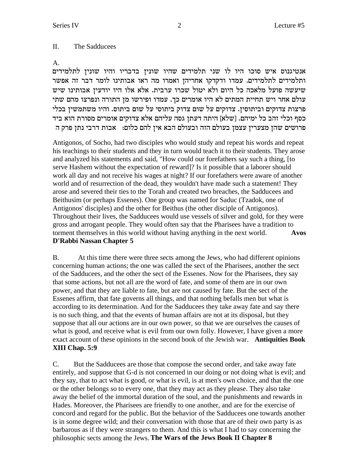#### II. The Sadducees

#### A.

אנטיגנוס איש סוכו היו לו שני תלמידים שהיו שונין בדבריו והיו שונין לתלמידים ותלמידים לתלמידים. עמדו ודקדקו אחריהן ואמרו מה ראו אבותינו לומר דבר זה אפשר שיעשה פועל מלאכה כל היום ולא יטול שכרו ערבית. אלא אלו היו יודעין אבותינו שיש עולם אחר ויש תחיית המתים לא היו אומרים כך. עמדו ופירשו מן התורה ונפרצו מהם שתי פרצות צדוקים וביתוסין. צדוקים על שום צדוק ביתוסי על שום ביתוס. והיו משתמשין בכלי כסף וכלי זהב כל ימיהם. [שלא] היתה דעתן גסה עליהם אלא צדוקים אומרים מסורת הוא ביד פרושים שהן מצערין עצמן בעולם הזה ובעולם הבא אין להם כלום: אבות דרבי נתן פרק ה

Antigonos, of Socho, had two disciples who would study and repeat his words and repeat his teachings to their students and they in turn would teach it to their students. They arose and analyzed his statements and said, "How could our forefathers say such a thing, [to serve Hashem without the expectation of reward]? Is it possible that a laborer should work all day and not receive his wages at night? If our forefathers were aware of another world and of resurrection of the dead, they wouldn't have made such a statement! They arose and severed their ties to the Torah and created two breaches, the Sadducees and Beithusim (or perhaps Essenes). One group was named for Saduc (Tzadok, one of Antigonos' disciples) and the other for Beithus (the other disciple of Antigonos). Throughout their lives, the Sadducees would use vessels of silver and gold, for they were gross and arrogant people. They would often say that the Pharisees have a tradition to torment themselves in this world without having anything in the next world. **Avos D'Rabbi Nassan Chapter 5**

B. At this time there were three sects among the Jews, who had different opinions concerning human actions; the one was called the sect of the Pharisees, another the sect of the Sadducees, and the other the sect of the Essenes. Now for the Pharisees, they say that some actions, but not all are the word of fate, and some of them are in our own power, and that they are liable to fate, but are not caused by fate. But the sect of the Essenes affirm, that fate governs all things, and that nothing befalls men but what is according to its determination. And for the Sadducees they take away fate and say there is no such thing, and that the events of human affairs are not at its disposal, but they suppose that all our actions are in our own power, so that we are ourselves the causes of what is good, and receive what is evil from our own folly. However, I have given a more exact account of these opinions in the second book of the Jewish war. **Antiquities Book XIII Chap. 5:9**

C. But the Sadducees are those that compose the second order, and take away fate entirely, and suppose that G-d is not concerned in our doing or not doing what is evil; and they say, that to act what is good, or what is evil, is at men's own choice, and that the one or the other belongs so to every one, that they may act as they please. They also take away the belief of the immortal duration of the soul, and the punishments and rewards in Hades. Moreover, the Pharisees are friendly to one another, and are for the exercise of concord and regard for the public. But the behavior of the Sadducees one towards another is in some degree wild; and their conversation with those that are of their own party is as barbarous as if they were strangers to them. And this is what I had to say concerning the philosophic sects among the Jews.**The Wars of the Jews Book II Chapter 8**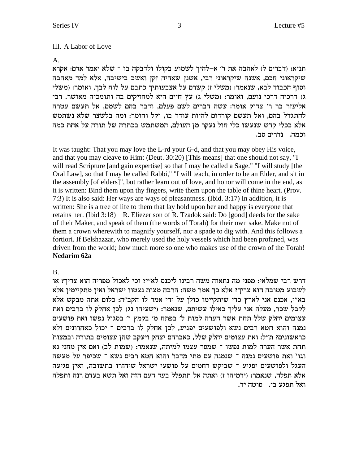#### A Labor of Love III.

A.

תניא: (דברים ל) לאהבה את ד' א-להיך לשמוע בקולו ולדבקה בו ־ שלא יאמר אדם: אקרא שיקראוני חכם, אשנה שיקראוני רבי, אשנן שאהיה זקן ואשב בישיבה, אלא למד מאהבה וסוף הכבוד לבא, שנאמר: (משלי ז) קשרם על אצבעותיך כתבם על לוח לבך, ואומר: (משלי ג) דרכיה דרכי נועם, ואומר: (משלי ג) עץ חיים היא למחזיקים בה ותומכיה מאושר. רבי אליעזר בר ר' צדוק אומר: עשה דברים לשם פעלם, ודבר בהם לשמם, אל תעשם עטרה להתגדל בהם, ואל תעשם קורדום להיות עודר בו, וקל וחומר: ומה בלשצר שלא נשתמש אלא בכלי קדש שנעשו כלי חול נעקר מן העולם, המשתמש בכתרה של תורה על אחת כמה וכמה. נדרים סב.

It was taught: That you may love the L-rd your G-d, and that you may obey His voice, and that you may cleave to Him: (Deut. 30:20) [This means] that one should not say, "I will read Scripture [and gain expertise] so that I may be called a Sage." "I will study [the Oral Law], so that I may be called Rabbi," "I will teach, in order to be an Elder, and sit in the assembly [of elders]", but rather learn out of love, and honor will come in the end, as it is written: Bind them upon thy fingers, write them upon the table of thine heart. (Prov. 7:3) It is also said: Her ways are ways of pleasantness. (Ibid. 3:17) In addition, it is written: She is a tree of life to them that lay hold upon her and happy is everyone that retains her. (Ibid 3:18) R. Eliezer son of R. Tzadok said: Do [good] deeds for the sake of their Maker, and speak of them (the words of Torah) for their own sake. Make not of them a crown wherewith to magnify yourself, nor a spade to dig with. And this follows a fortiori. If Belshazzar, who merely used the holy vessels which had been profaned, was driven from the world; how much more so one who makes use of the crown of the Torah! **Nedarim 62a**

# B.

דרש רבי שמלאי: מפני מה נתאוה משה רבינו ליכנס לא"י? וכי לאכול מפריה הוא צריך? או לשבוע מטובה הוא צריך? אלא כך אמר משה: הרבה מצות נצטוו ישראל ואין מתקיימין אלא בא"י, אכנס אני לארץ כדי שיתקיימו כולן על ידי אמר לו הקב"ה: כלום אתה מבקש אלא לקבל שכר, מעלה אני עליך כאילו עשיתם, שנאמר: (ישעיהו נג) לכן אחלק לו ברבים ואת עצומים יחלק שלל תחת אשר הערה למות ל' בפתח מ' בקמץ ו' בסגול נפשו ואת פושעים נמנה והוא חטא רבים נשא ולפושעים יפגיע, לכן אחלק לו ברבים ־ יכול כאחרונים ולא כראשונים? ת"ל: ואת עצומים יחלק שלל, כאברהם יצחק ויעקב שהן עצומים בתורה ובמצות תחת אשר הערה למות נפשו ־ שמסר עצמו למיתה, שנאמר: (שמות לב) ואם אין מחני נא וגו' ואת פושעים נמנה ־ שנמנה עם מתי מדבר והוא חטא רבים נשא ־ שכיפר על מעשה העגל ולפושעים יפגיע <sup>–</sup> שביקש רחמים על פושעי ישראל שיחזרו בתשובה, ואין פגיעה אלא תפלה, שנאמר: (ירמיהו ז) ואתה אל תתפלל בעד העם הזה ואל תשא בעדם רנה ותפלה . ואל תפגע בי. ) סוטה יד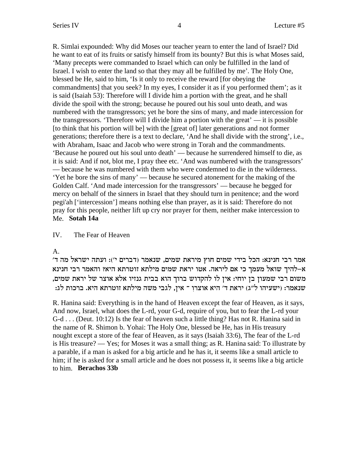R. Simlai expounded: Why did Moses our teacher yearn to enter the land of Israel? Did he want to eat of its fruits or satisfy himself from its bounty? But this is what Moses said, 'Many precepts were commanded to Israel which can only be fulfilled in the land of Israel. I wish to enter the land so that they may all be fulfilled by me'. The Holy One, blessed be He, said to him, 'Is it only to receive the reward [for obeying the commandments] that you seek? In my eyes, I consider it as if you performed them'; as it is said (Isaiah 53): Therefore will I divide him a portion with the great, and he shall divide the spoil with the strong; because he poured out his soul unto death, and was numbered with the transgressors; yet he bore the sins of many, and made intercession for the transgressors. 'Therefore will I divide him a portion with the great' — it is possible [to think that his portion will be] with the [great of] later generations and not former generations; therefore there is a text to declare, 'And he shall divide with the strong', i.e., with Abraham, Isaac and Jacob who were strong in Torah and the commandments. 'Because he poured out his soul unto death' — because he surrendered himself to die, as it is said: And if not, blot me, I pray thee etc. 'And was numbered with the transgressors' — because he was numbered with them who were condemned to die in the wilderness. 'Yet he bore the sins of many' — because he secured atonement for the making of the Golden Calf. 'And made intercession for the transgressors' — because he begged for mercy on behalf of the sinners in Israel that they should turn in penitence; and the word pegi'ah ['intercession'] means nothing else than prayer, as it is said: Therefore do not pray for this people, neither lift up cry nor prayer for them, neither make intercession to Me. **Sotah 14a**

### IV. The Fear of Heaven

# A.

'אמר רבי חנינא: הכל בידי שמים חוץ מיראת שמים, שנאמר (דברים י׳): ועתה ישראל מה ד א-להיך שואל מעמך כי אם ליראה. אטו יראת שמים מילתא זוטרתא היא? והאמר רבי חנינא , משום רבי שמעון בן יוחי: אין לו להקדוש ברוך הוא בבית גנזיו אלא אוצר של יראת שמים : שנאמר: (ישעיהו ל"ג) יראת ד' היא אוצרו ־ אין, לגבי משה מילתא זוטרתא היא. ברכות לג

R. Hanina said: Everything is in the hand of Heaven except the fear of Heaven, as it says, And now, Israel, what does the L-rd, your G-d, require of you, but to fear the L-rd your G-d . . . (Deut. 10:12) Is the fear of heaven such a little thing? Has not R. Hanina said in the name of R. Shimon b. Yohai: The Holy One, blessed be He, has in His treasury nought except a store of the fear of Heaven, as it says (Isaiah 33:6), The fear of the L-rd is His treasure? — Yes; for Moses it was a small thing; as R. Hanina said: To illustrate by a parable, if a man is asked for a big article and he has it, it seems like a small article to him; if he is asked for a small article and he does not possess it, it seems like a big article to him. **Berachos 33b**